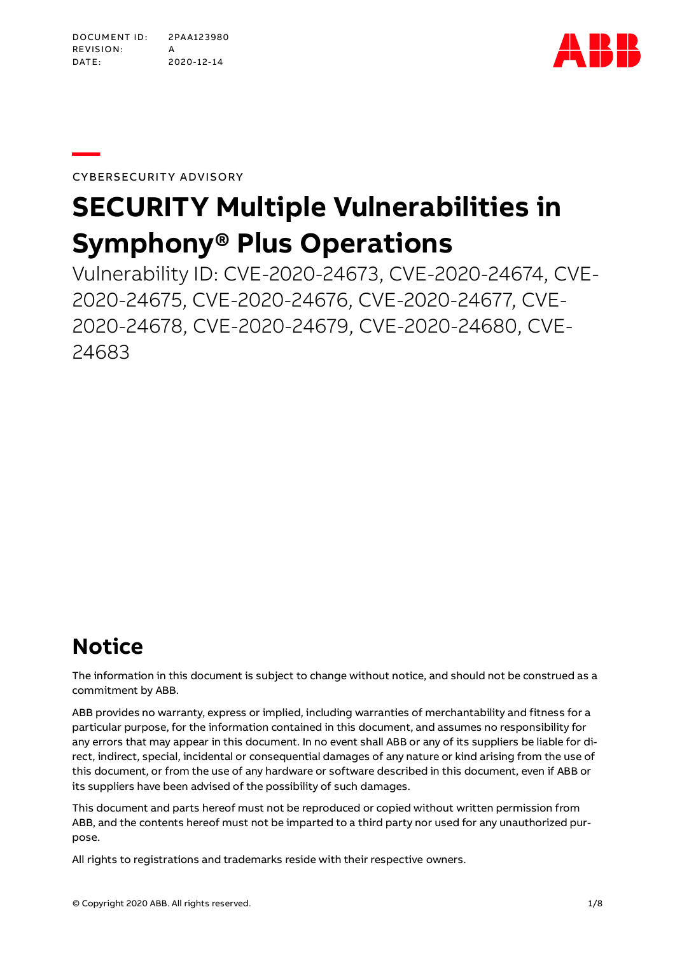DOCUMENT ID: 2PAA123980 RE VIS IO N: A DATE: 2020-12-14



CYBERSECURITY ADVISORY

**—**

# **SECURITY Multiple Vulnerabilities in Symphony® Plus Operations**

Vulnerability ID: CVE-2020-24673, CVE-2020-24674, CVE-2020-24675, CVE-2020-24676, CVE-2020-24677, CVE-2020-24678, CVE-2020-24679, CVE-2020-24680, CVE-24683

# **Notice**

The information in this document is subject to change without notice, and should not be construed as a commitment by ABB.

ABB provides no warranty, express or implied, including warranties of merchantability and fitness for a particular purpose, for the information contained in this document, and assumes no responsibility for any errors that may appear in this document. In no event shall ABB or any of its suppliers be liable for direct, indirect, special, incidental or consequential damages of any nature or kind arising from the use of this document, or from the use of any hardware or software described in this document, even if ABB or its suppliers have been advised of the possibility of such damages.

This document and parts hereof must not be reproduced or copied without written permission from ABB, and the contents hereof must not be imparted to a third party nor used for any unauthorized purpose.

All rights to registrations and trademarks reside with their respective owners.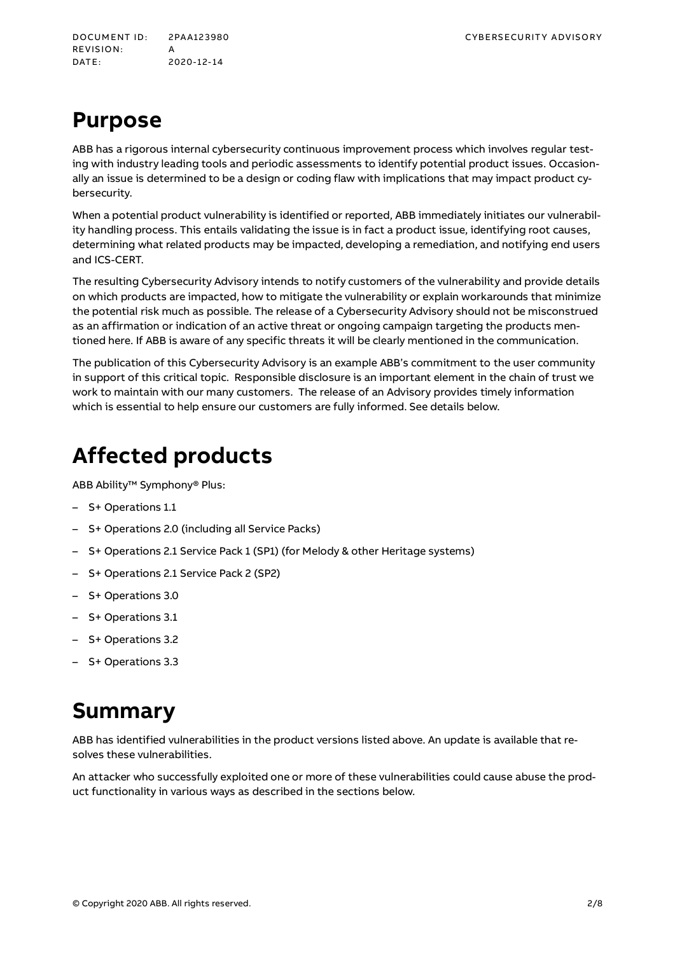DOCUMENT ID: 2PA A123980 CYBE RS ECU RIT Y A DVISORY RE VIS IO N: A DATE: 2020-12-14

# **Purpose**

ABB has a rigorous internal cybersecurity continuous improvement process which involves regular testing with industry leading tools and periodic assessments to identify potential product issues. Occasionally an issue is determined to be a design or coding flaw with implications that may impact product cybersecurity.

When a potential product vulnerability is identified or reported, ABB immediately initiates our vulnerability handling process. This entails validating the issue is in fact a product issue, identifying root causes, determining what related products may be impacted, developing a remediation, and notifying end users and ICS-CERT.

The resulting Cybersecurity Advisory intends to notify customers of the vulnerability and provide details on which products are impacted, how to mitigate the vulnerability or explain workarounds that minimize the potential risk much as possible. The release of a Cybersecurity Advisory should not be misconstrued as an affirmation or indication of an active threat or ongoing campaign targeting the products mentioned here. If ABB is aware of any specific threats it will be clearly mentioned in the communication.

The publication of this Cybersecurity Advisory is an example ABB's commitment to the user community in support of this critical topic. Responsible disclosure is an important element in the chain of trust we work to maintain with our many customers. The release of an Advisory provides timely information which is essential to help ensure our customers are fully informed. See details below.

# **Affected products**

ABB Ability™ Symphony® Plus:

- S+ Operations 1.1
- S+ Operations 2.0 (including all Service Packs)
- S+ Operations 2.1 Service Pack 1 (SP1) (for Melody & other Heritage systems)
- S+ Operations 2.1 Service Pack 2 (SP2)
- S+ Operations 3.0
- S+ Operations 3.1
- S+ Operations 3.2
- S+ Operations 3.3

### **Summary**

ABB has identified vulnerabilities in the product versions listed above. An update is available that resolves these vulnerabilities.

An attacker who successfully exploited one or more of these vulnerabilities could cause abuse the product functionality in various ways as described in the sections below.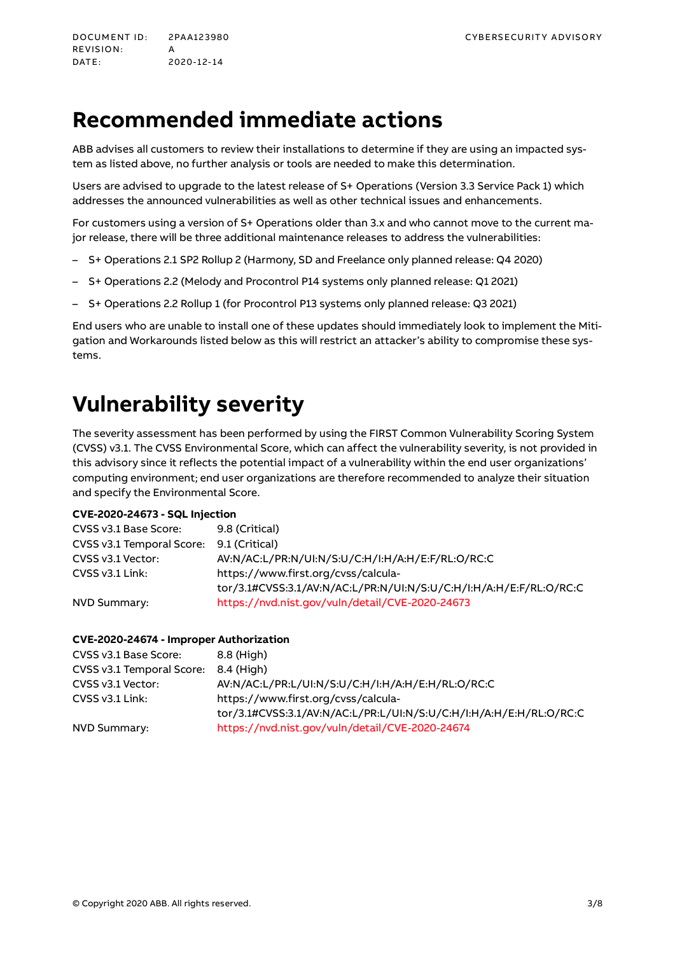DOCUMENT ID: 2PAA123980 CYBERS ECURITY ADVISORY REVISION: A DATE: 2020-12-14

# **Recommended immediate actions**

ABB advises all customers to review their installations to determine if they are using an impacted system as listed above, no further analysis or tools are needed to make this determination.

Users are advised to upgrade to the latest release of S+ Operations (Version 3.3 Service Pack 1) which addresses the announced vulnerabilities as well as other technical issues and enhancements.

For customers using a version of S+ Operations older than 3.x and who cannot move to the current major release, there will be three additional maintenance releases to address the vulnerabilities:

- S+ Operations 2.1 SP2 Rollup 2 (Harmony, SD and Freelance only planned release: Q4 2020)
- S+ Operations 2.2 (Melody and Procontrol P14 systems only planned release: Q1 2021)
- S+ Operations 2.2 Rollup 1 (for Procontrol P13 systems only planned release: Q3 2021)

End users who are unable to install one of these updates should immediately look to implement the Mitigation and Workarounds listed below as this will restrict an attacker's ability to compromise these systems.

# **Vulnerability severity**

The severity assessment has been performed by using the FIRST Common Vulnerability Scoring System (CVSS) v3.1. The CVSS Environmental Score, which can affect the vulnerability severity, is not provided in this advisory since it reflects the potential impact of a vulnerability within the end user organizations' computing environment; end user organizations are therefore recommended to analyze their situation and specify the Environmental Score.

#### **CVE-2020-24673 - SQL Injection**

| CVSS v3.1 Base Score:     | 9.8 (Critical)                                                     |
|---------------------------|--------------------------------------------------------------------|
| CVSS v3.1 Temporal Score: | 9.1 (Critical)                                                     |
| CVSS v3.1 Vector:         | AV:N/AC:L/PR:N/UI:N/S:U/C:H/I:H/A:H/E:F/RL:O/RC:C                  |
| CVSS v3.1 Link:           | https://www.first.org/cvss/calcula-                                |
|                           | tor/3.1#CVSS:3.1/AV:N/AC:L/PR:N/UI:N/S:U/C:H/I:H/A:H/E:F/RL:O/RC:C |
| NVD Summary:              | https://nvd.nist.gov/vuln/detail/CVE-2020-24673                    |

#### **CVE-2020-24674 - Improper Authorization**

| CVSS v3.1 Base Score:     | 8.8 (High)                                                         |
|---------------------------|--------------------------------------------------------------------|
| CVSS v3.1 Temporal Score: | 8.4 (Hiah)                                                         |
| CVSS v3.1 Vector:         | AV:N/AC:L/PR:L/UI:N/S:U/C:H/I:H/A:H/E:H/RL:O/RC:C                  |
| $CVSS v3.1$ Link:         | https://www.first.org/cvss/calcula-                                |
|                           | tor/3.1#CVSS:3.1/AV:N/AC:L/PR:L/UI:N/S:U/C:H/I:H/A:H/E:H/RL:O/RC:C |
| NVD Summary:              | https://nvd.nist.gov/vuln/detail/CVE-2020-24674                    |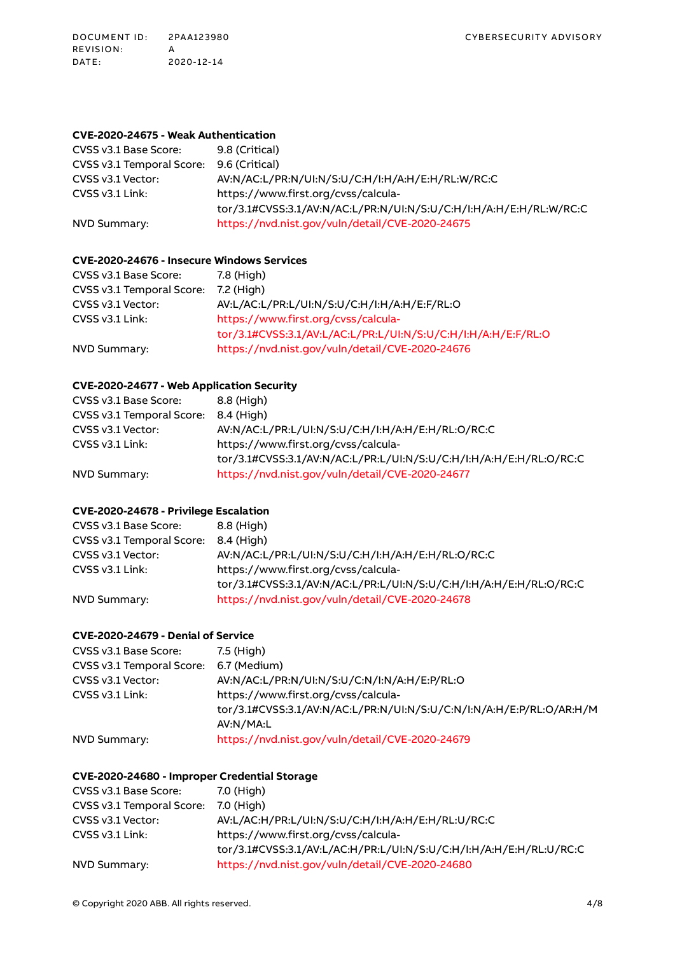#### **CVE-2020-24675 - Weak Authentication**

| CVSS v3.1 Base Score:     | 9.8 (Critical)                                                     |
|---------------------------|--------------------------------------------------------------------|
| CVSS v3.1 Temporal Score: | 9.6 (Critical)                                                     |
| CVSS v3.1 Vector:         | AV:N/AC:L/PR:N/UI:N/S:U/C:H/I:H/A:H/E:H/RL:W/RC:C                  |
| $CVSS v3.1$ Link:         | https://www.first.org/cvss/calcula-                                |
|                           | tor/3.1#CVSS:3.1/AV:N/AC:L/PR:N/UI:N/S:U/C:H/I:H/A:H/E:H/RL:W/RC:C |
| NVD Summary:              | https://nvd.nist.gov/vuln/detail/CVE-2020-24675                    |

### **CVE-2020-24676 - Insecure Windows Services**

| CVSS v3.1 Base Score:     | 7.8 (High)                                                    |
|---------------------------|---------------------------------------------------------------|
| CVSS v3.1 Temporal Score: | 7.2 (Hiah)                                                    |
| CVSS v3.1 Vector:         | AV:L/AC:L/PR:L/UI:N/S:U/C:H/I:H/A:H/E:F/RL:O                  |
| CVSS v3.1 Link:           | https://www.first.org/cvss/calcula-                           |
|                           | tor/3.1#CVSS:3.1/AV:L/AC:L/PR:L/UI:N/S:U/C:H/I:H/A:H/E:F/RL:O |
| NVD Summary:              | https://nvd.nist.gov/vuln/detail/CVE-2020-24676               |

#### **CVE-2020-24677 - Web Application Security**

| CVSS v3.1 Base Score:     | 8.8 (High)                                                         |
|---------------------------|--------------------------------------------------------------------|
| CVSS v3.1 Temporal Score: | 8.4 (Hiah)                                                         |
| CVSS v3.1 Vector:         | AV:N/AC:L/PR:L/UI:N/S:U/C:H/I:H/A:H/E:H/RL:O/RC:C                  |
| CVSS v3.1 Link:           | https://www.first.org/cvss/calcula-                                |
|                           | tor/3.1#CVSS:3.1/AV:N/AC:L/PR:L/UI:N/S:U/C:H/I:H/A:H/E:H/RL:O/RC:C |
| NVD Summary:              | https://nvd.nist.gov/vuln/detail/CVE-2020-24677                    |

#### **CVE-2020-24678 - Privilege Escalation**

| CVSS v3.1 Base Score:                | 8.8 (High)                                                         |
|--------------------------------------|--------------------------------------------------------------------|
| CVSS v3.1 Temporal Score: 8.4 (High) |                                                                    |
| CVSS v3.1 Vector:                    | AV:N/AC:L/PR:L/UI:N/S:U/C:H/I:H/A:H/E:H/RL:O/RC:C                  |
| $CVSS v3.1$ Link:                    | https://www.first.org/cvss/calcula-                                |
|                                      | tor/3.1#CVSS:3.1/AV:N/AC:L/PR:L/UI:N/S:U/C:H/I:H/A:H/E:H/RL:O/RC:C |
| NVD Summary:                         | https://nvd.nist.gov/vuln/detail/CVE-2020-24678                    |

#### **CVE-2020-24679 - Denial of Service**

| CVSS v3.1 Base Score:     | 7.5 (High)                                                           |
|---------------------------|----------------------------------------------------------------------|
| CVSS v3.1 Temporal Score: | 6.7 (Medium)                                                         |
| CVSS v3.1 Vector:         | AV:N/AC:L/PR:N/UI:N/S:U/C:N/I:N/A:H/E:P/RL:O                         |
| CVSS v3.1 Link:           | https://www.first.org/cvss/calcula-                                  |
|                           | tor/3.1#CVSS:3.1/AV:N/AC:L/PR:N/UI:N/S:U/C:N/I:N/A:H/E:P/RL:O/AR:H/M |
|                           | AV:N/MA:L                                                            |
| NVD Summary:              | https://nvd.nist.gov/vuln/detail/CVE-2020-24679                      |

#### **CVE-2020-24680 - Improper Credential Storage**

| CVSS v3.1 Base Score:     | 7.0 (High)                                                         |
|---------------------------|--------------------------------------------------------------------|
| CVSS v3.1 Temporal Score: | 7.0 (High)                                                         |
| CVSS v3.1 Vector:         | AV:L/AC:H/PR:L/UI:N/S:U/C:H/I:H/A:H/E:H/RL:U/RC:C                  |
| $CVSS v3.1$ Link:         | https://www.first.org/cvss/calcula-                                |
|                           | tor/3.1#CVSS:3.1/AV:L/AC:H/PR:L/UI:N/S:U/C:H/I:H/A:H/E:H/RL:U/RC:C |
| NVD Summary:              | https://nvd.nist.gov/vuln/detail/CVE-2020-24680                    |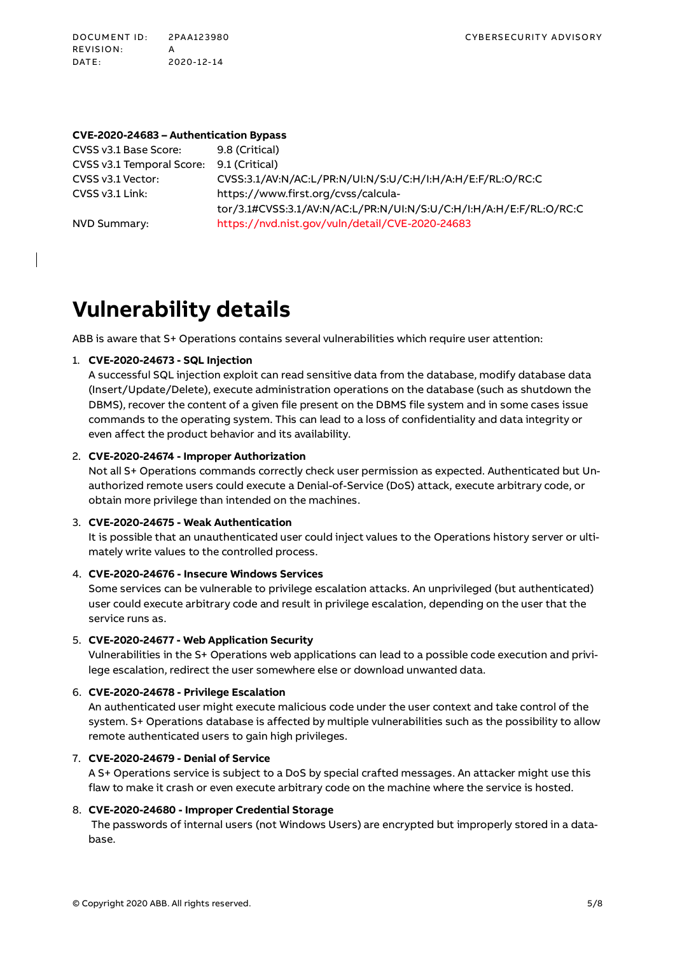DOCUMENT ID: 2PA A123980 CYBERS ECURITY ADVISORY RE VIS IO N: A DATE: 2020-12-14

#### **CVE-2020-24683 – Authentication Bypass**

CVSS v3.1 Base Score: 9.8 (Critical) CVSS v3.1 Temporal Score: 9.1 (Critical) CVSS v3.1 Vector: CVSS:3.1/AV:N/AC:L/PR:N/UI:N/S:U/C:H/I:H/A:H/E:F/RL:O/RC:C CVSS v3.1 Link: https://www.first.org/cvss/calculator/3.1#CVSS:3.1/AV:N/AC:L/PR:N/UI:N/S:U/C:H/I:H/A:H/E:F/RL:O/RC:C NVD Summary: <https://nvd.nist.gov/vuln/detail/CVE-2020-24683>

### **Vulnerability details**

ABB is aware that S+ Operations contains several vulnerabilities which require user attention:

#### 1. **CVE-2020-24673 - SQL Injection**

A successful SQL injection exploit can read sensitive data from the database, modify database data (Insert/Update/Delete), execute administration operations on the database (such as shutdown the DBMS), recover the content of a given file present on the DBMS file system and in some cases issue commands to the operating system. This can lead to a loss of confidentiality and data integrity or even affect the product behavior and its availability.

#### 2. **CVE-2020-24674 - Improper Authorization**

Not all S+ Operations commands correctly check user permission as expected. Authenticated but Unauthorized remote users could execute a Denial-of-Service (DoS) attack, execute arbitrary code, or obtain more privilege than intended on the machines.

#### 3. **CVE-2020-24675 - Weak Authentication**

It is possible that an unauthenticated user could inject values to the Operations history server or ultimately write values to the controlled process.

#### 4. **CVE-2020-24676 - Insecure Windows Services**

Some services can be vulnerable to privilege escalation attacks. An unprivileged (but authenticated) user could execute arbitrary code and result in privilege escalation, depending on the user that the service runs as.

#### 5. **CVE-2020-24677 - Web Application Security**

Vulnerabilities in the S+ Operations web applications can lead to a possible code execution and privilege escalation, redirect the user somewhere else or download unwanted data.

#### 6. **CVE-2020-24678 - Privilege Escalation**

An authenticated user might execute malicious code under the user context and take control of the system. S+ Operations database is affected by multiple vulnerabilities such as the possibility to allow remote authenticated users to gain high privileges.

#### 7. **CVE-2020-24679 - Denial of Service**

A S+ Operations service is subject to a DoS by special crafted messages. An attacker might use this flaw to make it crash or even execute arbitrary code on the machine where the service is hosted.

#### 8. **CVE-2020-24680 - Improper Credential Storage**

The passwords of internal users (not Windows Users) are encrypted but improperly stored in a database.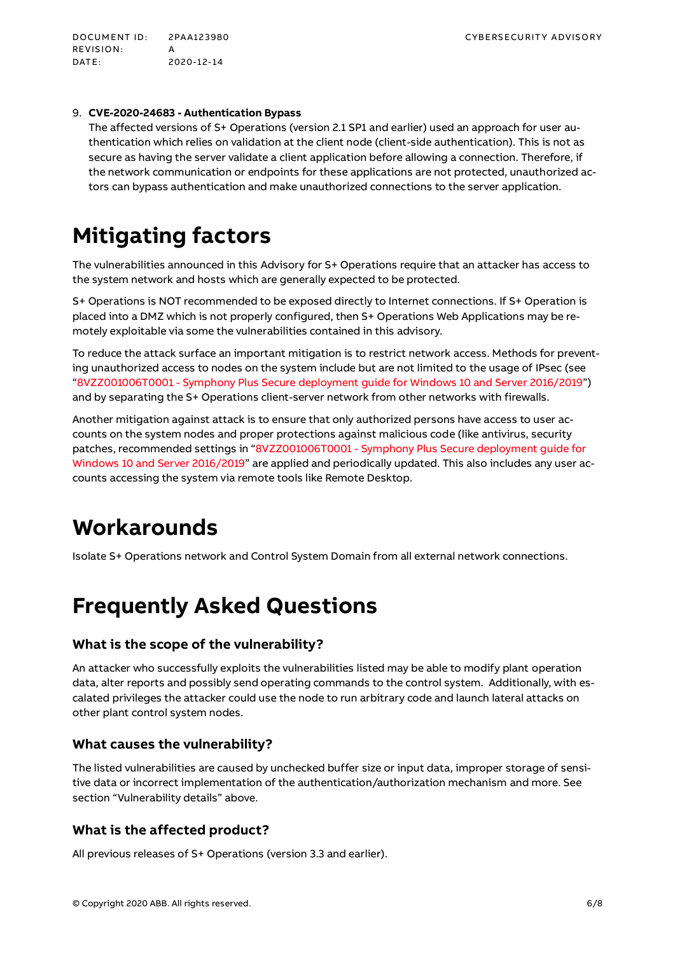DOCUMENT ID: 2PA A123980 CYBE RS ECU RIT Y A DVISORY RE VIS IO N: A DATE: 2020-12-14

#### 9. **CVE-2020-24683 - Authentication Bypass**

The affected versions of S+ Operations (version 2.1 SP1 and earlier) used an approach for user authentication which relies on validation at the client node (client-side authentication). This is not as secure as having the server validate a client application before allowing a connection. Therefore, if the network communication or endpoints for these applications are not protected, unauthorized actors can bypass authentication and make unauthorized connections to the server application.

# **Mitigating factors**

The vulnerabilities announced in this Advisory for S+ Operations require that an attacker has access to the system network and hosts which are generally expected to be protected.

S+ Operations is NOT recommended to be exposed directly to Internet connections. If S+ Operation is placed into a DMZ which is not properly configured, then S+ Operations Web Applications may be remotely exploitable via some the vulnerabilities contained in this advisory.

To reduce the attack surface an important mitigation is to restrict network access. Methods for preventing unauthorized access to nodes on the system include but are not limited to the usage of IPsec (see "8VZZ001006T0001 - [Symphony Plus Secure deployment guide for Windows 10 and Server 2016/2019"](https://search.abb.com/library/Download.aspx?DocumentID=8VZZ001006T0001&LanguageCode=en&DocumentPartId=&Action=Launch)) and by separating the S+ Operations client-server network from other networks with firewalls.

Another mitigation against attack is to ensure that only authorized persons have access to user accounts on the system nodes and proper protections against malicious code (like antivirus, security patches, recommended settings in "8VZZ001006T0001 - [Symphony Plus Secure deployment guide for](https://search.abb.com/library/Download.aspx?DocumentID=8VZZ001006T0001&LanguageCode=en&DocumentPartId=&Action=Launch)  [Windows 10 and Server 2016/2019"](https://search.abb.com/library/Download.aspx?DocumentID=8VZZ001006T0001&LanguageCode=en&DocumentPartId=&Action=Launch) are applied and periodically updated. This also includes any user accounts accessing the system via remote tools like Remote Desktop.

### **Workarounds**

Isolate S+ Operations network and Control System Domain from all external network connections.

## **Frequently Asked Questions**

#### **What is the scope of the vulnerability?**

An attacker who successfully exploits the vulnerabilities listed may be able to modify plant operation data, alter reports and possibly send operating commands to the control system. Additionally, with escalated privileges the attacker could use the node to run arbitrary code and launch lateral attacks on other plant control system nodes.

#### **What causes the vulnerability?**

The listed vulnerabilities are caused by unchecked buffer size or input data, improper storage of sensitive data or incorrect implementation of the authentication/authorization mechanism and more. See section "Vulnerability details" above.

#### **What is the affected product?**

All previous releases of S+ Operations (version 3.3 and earlier).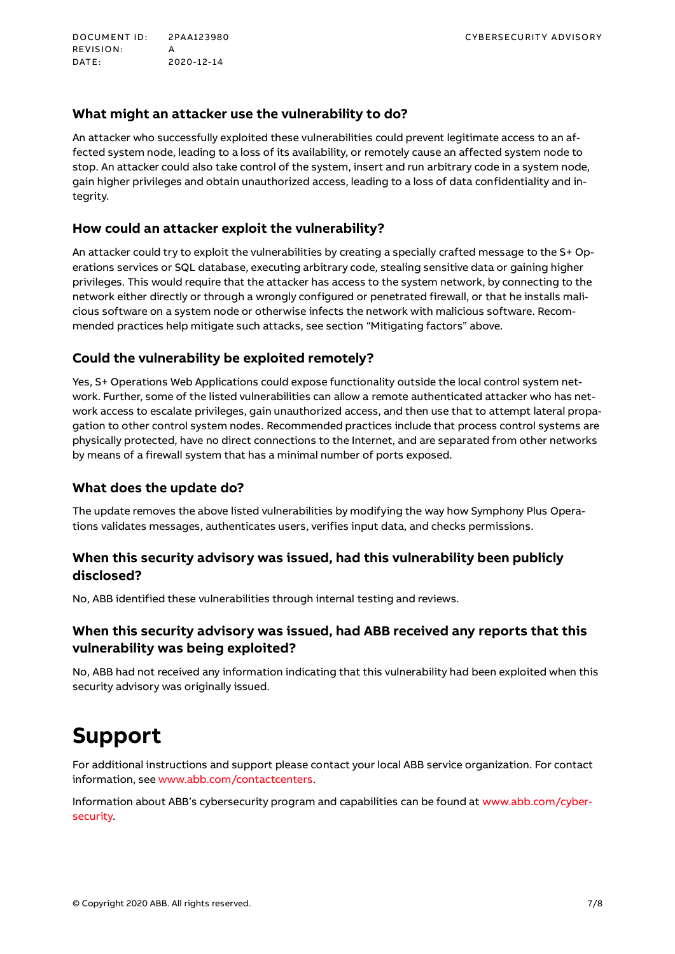DOCUMENT ID: 2PA A123980 CYBE RS ECU RIT Y A DVISORY RE VIS IO N: A DATE: 2020-12-14

### **What might an attacker use the vulnerability to do?**

An attacker who successfully exploited these vulnerabilities could prevent legitimate access to an affected system node, leading to a loss of its availability, or remotely cause an affected system node to stop. An attacker could also take control of the system, insert and run arbitrary code in a system node, gain higher privileges and obtain unauthorized access, leading to a loss of data confidentiality and integrity.

### **How could an attacker exploit the vulnerability?**

An attacker could try to exploit the vulnerabilities by creating a specially crafted message to the S+ Operations services or SQL database, executing arbitrary code, stealing sensitive data or gaining higher privileges. This would require that the attacker has access to the system network, by connecting to the network either directly or through a wrongly configured or penetrated firewall, or that he installs malicious software on a system node or otherwise infects the network with malicious software. Recommended practices help mitigate such attacks, see section "Mitigating factors" above.

### **Could the vulnerability be exploited remotely?**

Yes, S+ Operations Web Applications could expose functionality outside the local control system network. Further, some of the listed vulnerabilities can allow a remote authenticated attacker who has network access to escalate privileges, gain unauthorized access, and then use that to attempt lateral propagation to other control system nodes. Recommended practices include that process control systems are physically protected, have no direct connections to the Internet, and are separated from other networks by means of a firewall system that has a minimal number of ports exposed.

### **What does the update do?**

The update removes the above listed vulnerabilities by modifying the way how Symphony Plus Operations validates messages, authenticates users, verifies input data, and checks permissions.

### **When this security advisory was issued, had this vulnerability been publicly disclosed?**

No, ABB identified these vulnerabilities through internal testing and reviews.

### **When this security advisory was issued, had ABB received any reports that this vulnerability was being exploited?**

No, ABB had not received any information indicating that this vulnerability had been exploited when this security advisory was originally issued.

### **Support**

For additional instructions and support please contact your local ABB service organization. For contact information, se[e www.abb.com/contactcenters.](http://www.abb.com/contactcenters)

Information about ABB's cybersecurity program and capabilities can be found a[t www.abb.com/cyber](http://www.abb.com/cybersecurity)[security.](http://www.abb.com/cybersecurity)